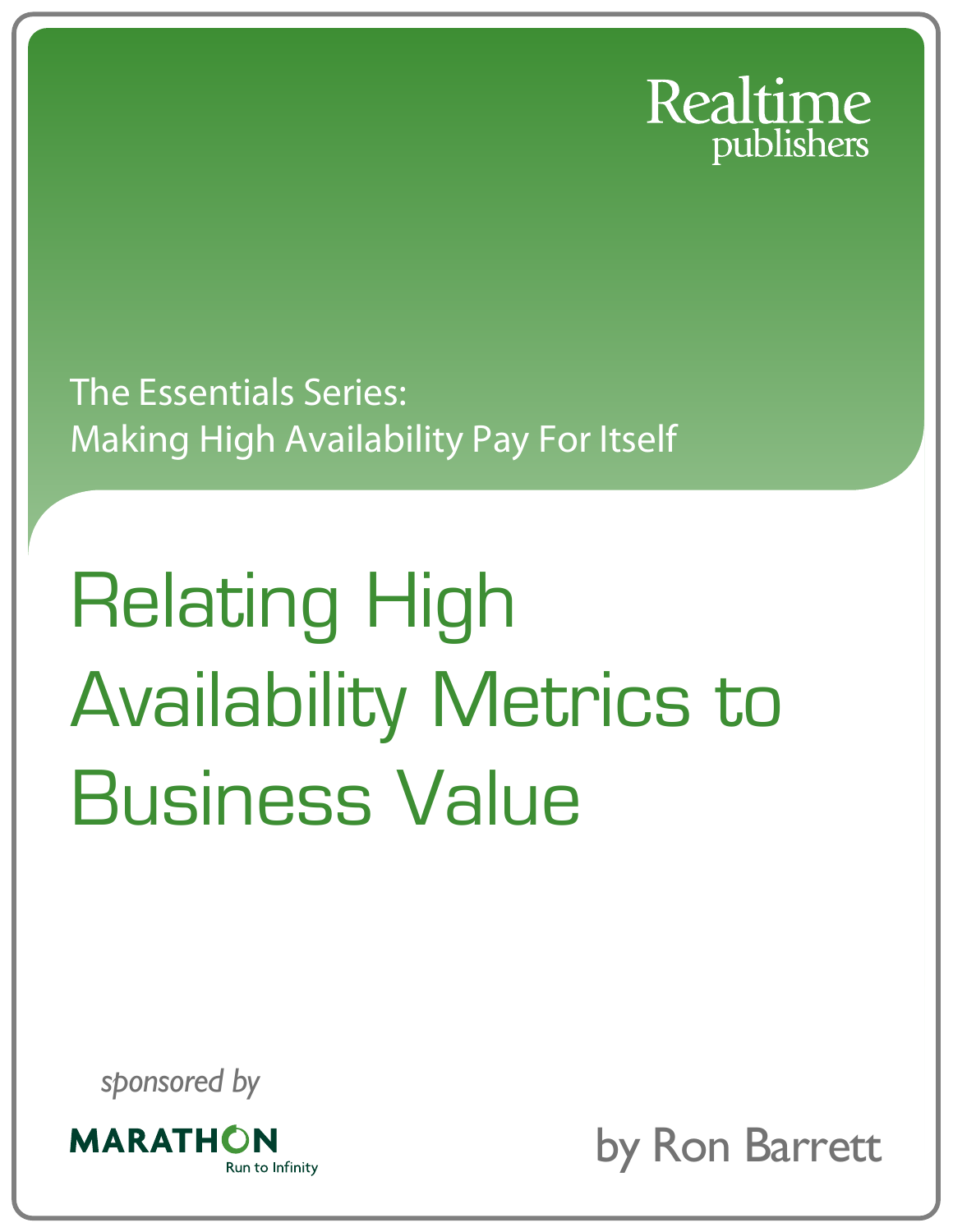

## The Essentials Series: Making High Availability Pay For Itself

# Relating High Availability Metrics to Business Value

*sponsored by*



by Ron Barrett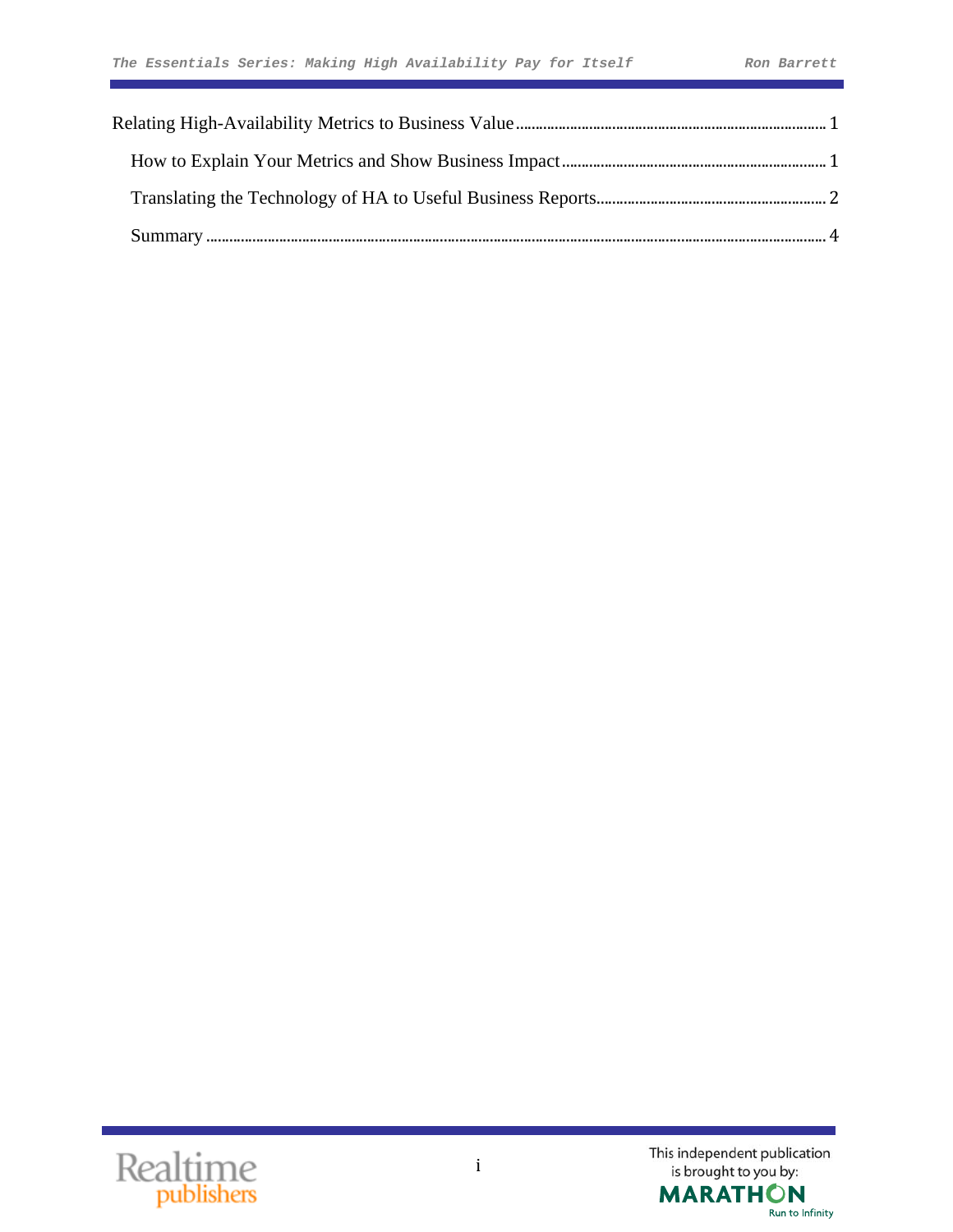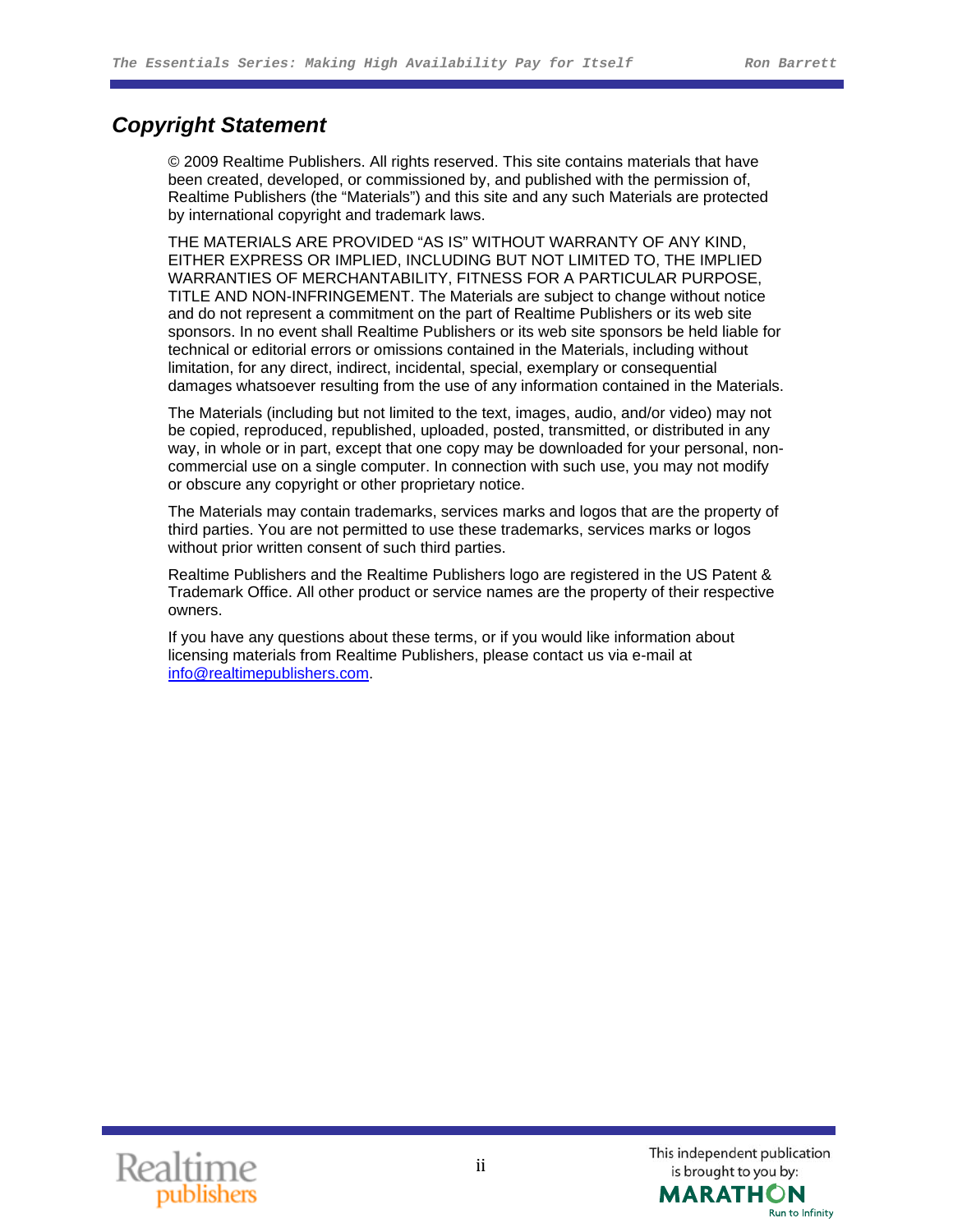#### *Copyright Statement*

© 2009 Realtime Publishers. All rights reserved. This site contains materials that have been created, developed, or commissioned by, and published with the permission of, Realtime Publishers (the "Materials") and this site and any such Materials are protected by international copyright and trademark laws.

THE MATERIALS ARE PROVIDED "AS IS" WITHOUT WARRANTY OF ANY KIND, EITHER EXPRESS OR IMPLIED, INCLUDING BUT NOT LIMITED TO, THE IMPLIED WARRANTIES OF MERCHANTABILITY, FITNESS FOR A PARTICULAR PURPOSE, TITLE AND NON-INFRINGEMENT. The Materials are subject to change without notice and do not represent a commitment on the part of Realtime Publishers or its web site sponsors. In no event shall Realtime Publishers or its web site sponsors be held liable for technical or editorial errors or omissions contained in the Materials, including without limitation, for any direct, indirect, incidental, special, exemplary or consequential damages whatsoever resulting from the use of any information contained in the Materials.

The Materials (including but not limited to the text, images, audio, and/or video) may not be copied, reproduced, republished, uploaded, posted, transmitted, or distributed in any way, in whole or in part, except that one copy may be downloaded for your personal, noncommercial use on a single computer. In connection with such use, you may not modify or obscure any copyright or other proprietary notice.

The Materials may contain trademarks, services marks and logos that are the property of third parties. You are not permitted to use these trademarks, services marks or logos without prior written consent of such third parties.

Realtime Publishers and the Realtime Publishers logo are registered in the US Patent & Trademark Office. All other product or service names are the property of their respective owners.

If you have any questions about these terms, or if you would like information about licensing materials from Realtime Publishers, please contact us via e-mail at [info@realtimepublishers.com](mailto:info@realtimepublishers.com).

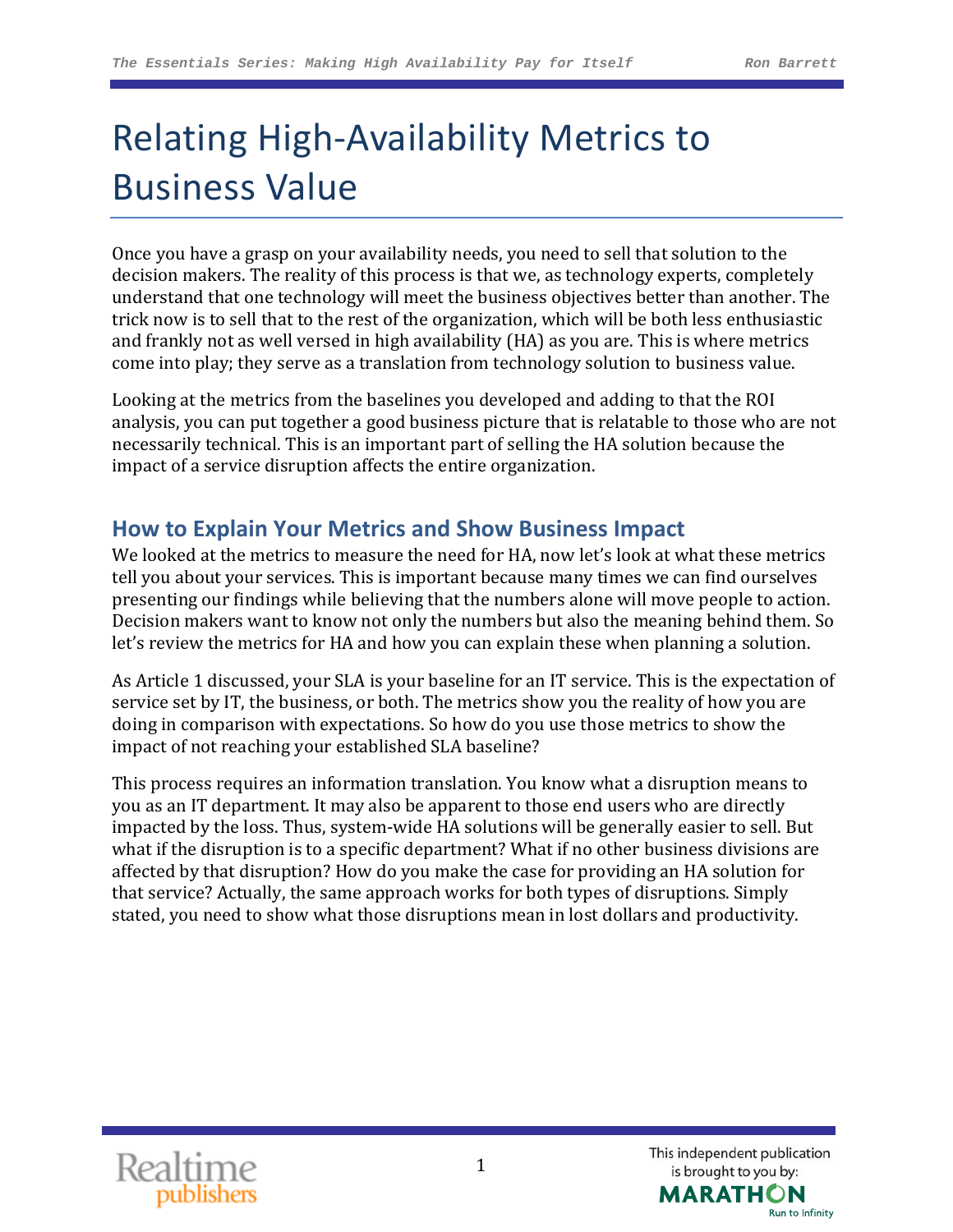# <span id="page-3-0"></span>Relating High‐Availability Metrics to Business Value

Once you have a grasp on your availability needs, you need to sell that solution to the decision makers. The reality of this process is that we, as technology experts, completely understand that one technology will meet the business objectives better than another. The trick now is to sell that to the rest of the organization, which will be both less enthusiastic and frankly not as well versed in high availability (HA) as you are. This is where metrics come into play; they serve as a translation from technology solution to business value.

Looking at the metrics from the baselines you developed and adding to that the ROI analysis, you can put together a good business picture that is relatable to those who are not necessarily technical. This is an important part of selling the HA solution because the impact of a service disruption affects the entire organization.

### **How to Explain Your Metrics and Show Business Impact**

We looked at the metrics to measure the need for HA, now let's look at what these metrics tell you about your services. This is important because many times we can find ourselves presenting our findings while believing that the numbers alone will move people to action. Decision makers want to know not only the numbers but also the meaning behind them. So let's review the metrics for HA and how you can explain these when planning a solution.

As Article 1 discussed, your SLA is your baseline for an IT service. This is the expectation of service set by IT, the business, or both. The metrics show you the reality of how you are doing in comparison with expectations. So how do you use those metrics to show the impact of not reaching your established SLA baseline?

This process requires an information translation. You know what a disruption means to you as an IT department. It may also be apparent to those end users who are directly impacted by the loss. Thus, system-wide HA solutions will be generally easier to sell. But what if the disruption is to a specific department? What if no other business divisions are affected by that disruption? How do you make the case for providing an HA solution for that service? Actually, the same approach works for both types of disruptions. Simply stated, you need to show what those disruptions mean in lost dollars and productivity.

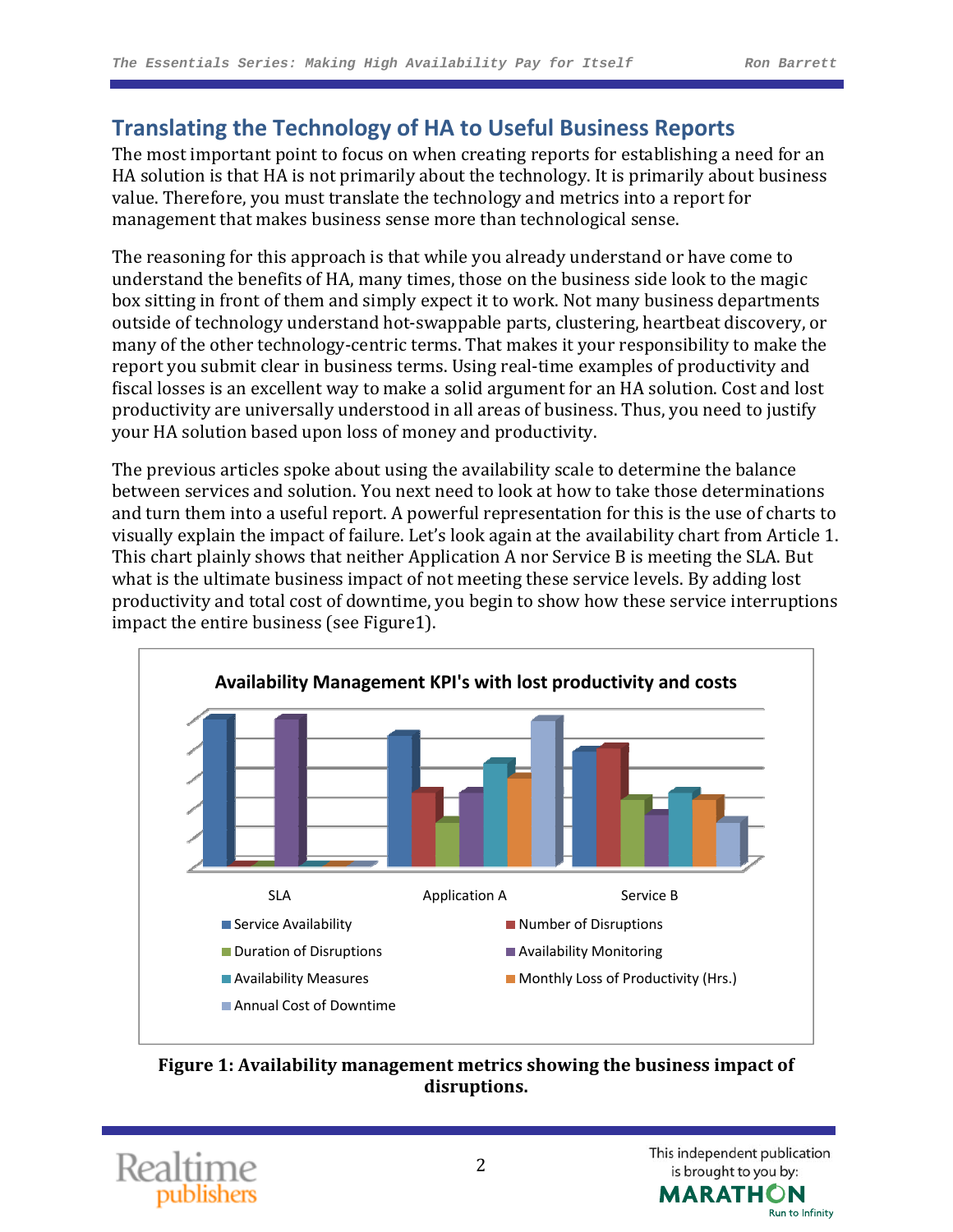## <span id="page-4-0"></span>**Translating the Technology of HA to Useful Business Reports**

The most important point to focus on when creating reports for establishing a need for an HA solution is that HA is not primarily about the technology. It is primarily about business value. Therefore, you must translate the technology and metrics into a report for management that makes business sense more than technological sense.

The reasoning for this approach is that while you already understand or have come to understand the benefits of HA, many times, those on the business side look to the magic box sitting in front of them and simply expect it to work. Not many business departments outside of technology understand hot‐swappable parts, clustering, heartbeat discovery, or many of the other technology-centric terms. That makes it your responsibility to make the report you submit clear in business terms. Using real‐time examples of productivity and fiscal losses is an excellent way to make a solid argument for an HA solution. Cost and lost productivity are universally understood in all areas of business. Thus, you need to justify your HA solution based upon loss of money and productivity.

The previous articles spoke about using the availability scale to determine the balance between services and solution. You next need to look at how to take those determinations and turn them into a useful report. A powerful representation for this is the use of charts to visually explain the impact of failure. Let's look again at the availability chart from Article 1. This chart plainly shows that neither Application A nor Service B is meeting the SLA. But what is the ultimate business impact of not meeting these service levels. By adding lost productivity and total cost of downtime, you begin to show how these service interruptions impact the entire business (see Figure1).



**Figure 1: Availability management metrics showing the business impact of disruptions.**

Realtime publishers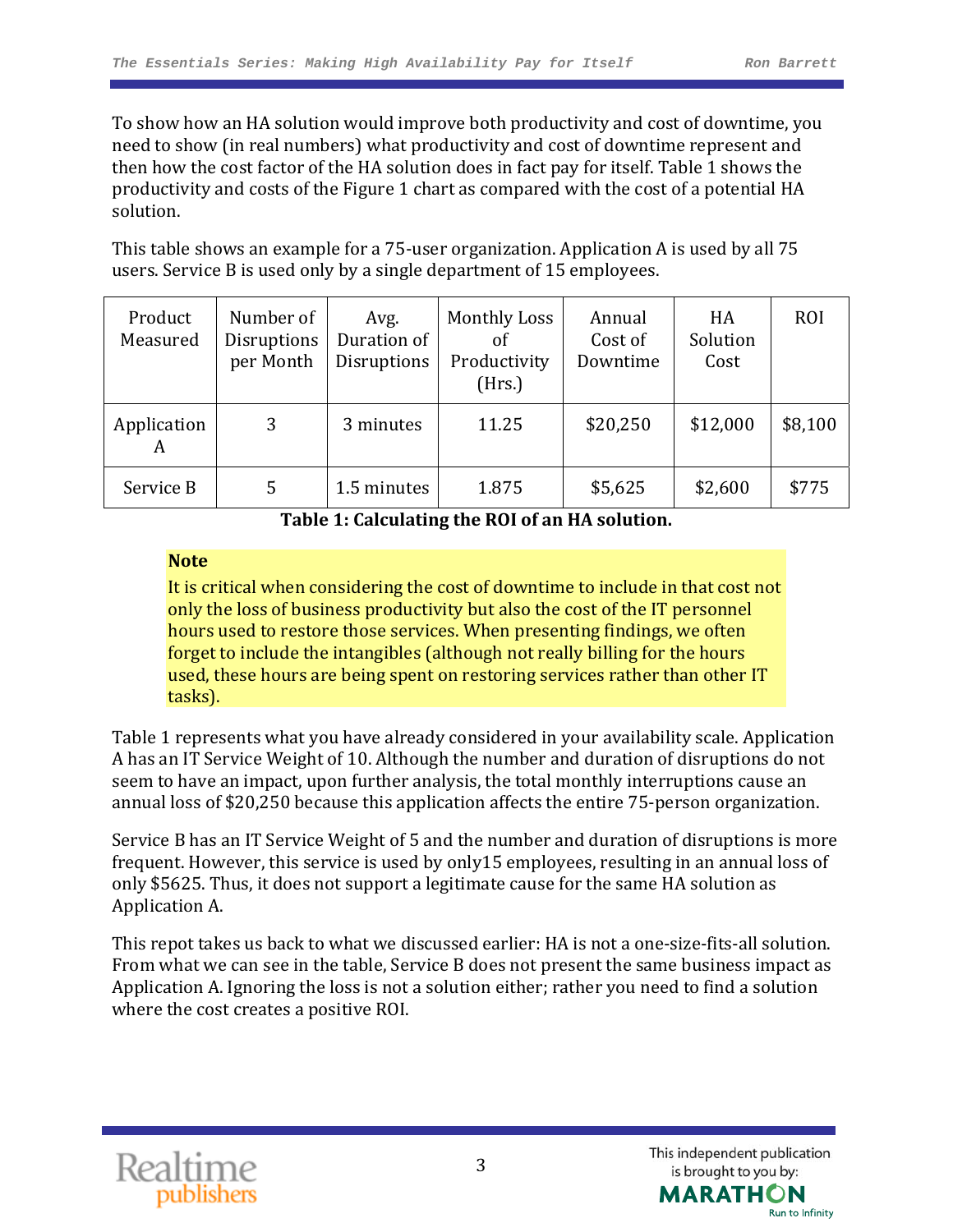To show how an HA solution would improve both productivity and cost of downtime, you need to show (in real numbers) what productivity and cost of downtime represent and then how the cost factor of the HA solution does in fact pay for itself. Table 1 shows the productivity and costs of the Figure 1 chart as compared with the cost of a potential HA solution.

This table shows an example for a 75‐user organization. Application A is used by all 75 users. Service B is used only by a single department of 15 employees.

| Product<br>Measured | Number of<br>Disruptions<br>per Month | Avg.<br>Duration of<br>Disruptions | Monthly Loss<br>οf<br>Productivity<br>(Hrs.) | Annual<br>Cost of<br>Downtime | <b>HA</b><br>Solution<br>Cost | <b>ROI</b> |
|---------------------|---------------------------------------|------------------------------------|----------------------------------------------|-------------------------------|-------------------------------|------------|
| Application<br>A    | 3                                     | 3 minutes                          | 11.25                                        | \$20,250                      | \$12,000                      | \$8,100    |
| Service B           | 5                                     | 1.5 minutes                        | 1.875                                        | \$5,625                       | \$2,600                       | \$775      |

**Table 1: Calculating the ROI of an HA solution.**

#### **Note**

It is critical when considering the cost of downtime to include in that cost not only the loss of business productivity but also the cost of the IT personnel hours used to restore those services. When presenting findings, we often forget to include the intangibles (although not really billing for the hours used, these hours are being spent on restoring services rather than other IT tasks).

Table 1 represents what you have already considered in your availability scale. Application A has an IT Service Weight of 10. Although the number and duration of disruptions do not seem to have an impact, upon further analysis, the total monthly interruptions cause an annual loss of \$20,250 because this application affects the entire 75‐person organization.

Service B has an IT Service Weight of 5 and the number and duration of disruptions is more frequent. However, this service is used by only15 employees, resulting in an annual loss of only \$5625. Thus, it does not support a legitimate cause for the same HA solution as Application A.

This repot takes us back to what we discussed earlier: HA is not a one‐size‐fits‐all solution. From what we can see in the table, Service B does not present the same business impact as Application A. Ignoring the loss is not a solution either; rather you need to find a solution where the cost creates a positive ROI.